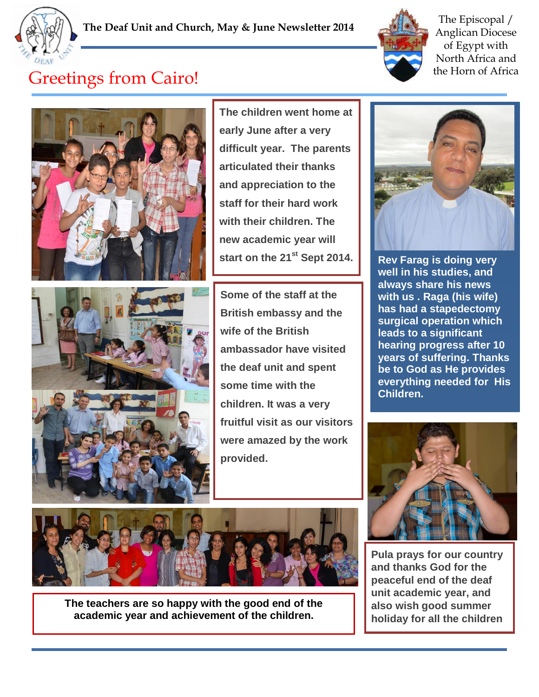



The Episcopal / Anglican Diocese of Egypt with North Africa and the Horn of Africa

## Greetings from Cairo!



**The children went home at early June after a very difficult year. The parents articulated their thanks and appreciation to the staff for their hard work with their children. The new academic year will start on the 21st Sept 2014.**

**graduation party was very**



**Some of the staff at the British embassy and the wife of the British ambassador have visited the deaf unit and spent some time with the children. It was a very fruitful visit as our visitors were amazed by the work provided.** 



**The teachers are so happy with the good end of the academic year and achievement of the children.**



**Rev Farag is doing very well in his studies, and always share his news with us . Raga (his wife) has had a stapedectomy surgical operation which leads to a significant hearing progress after 10 years of suffering. Thanks be to God as He provides everything needed for His Children.** 



**Pula prays for our country and thanks God for the peaceful end of the deaf unit academic year, and also wish good summer holiday for all the children**